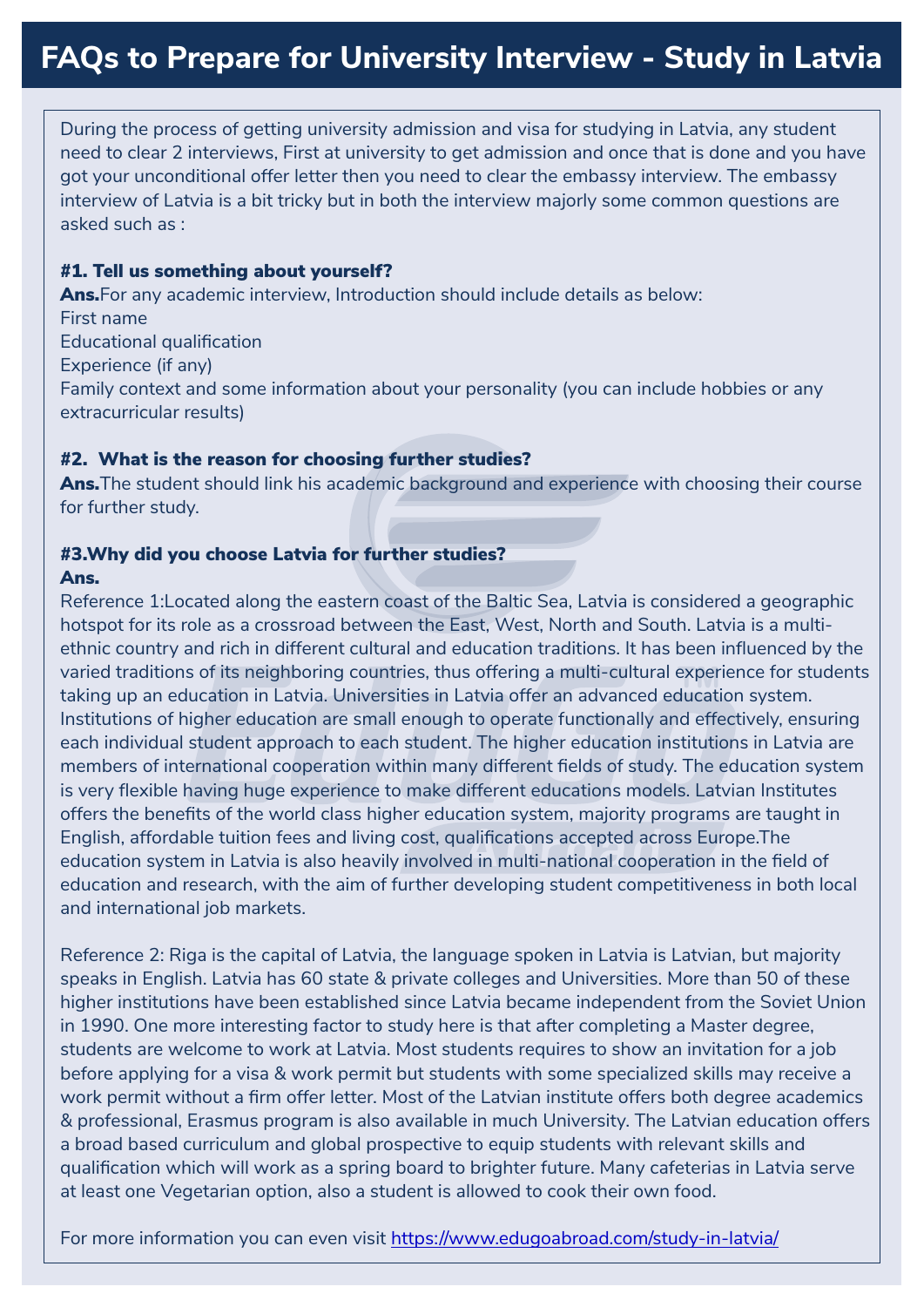During the process of getting university admission and visa for studying in Latvia, any student need to clear 2 interviews, First at university to get admission and once that is done and you have got your unconditional offer letter then you need to clear the embassy interview. The embassy interview of Latvia is a bit tricky but in both the interview majorly some common questions are asked such as :

### #1. Tell us something about yourself?

Ans. For any academic interview, Introduction should include details as below: First name Educational qualification Experience (if any) Family context and some information about your personality (you can include hobbies or any extracurricular results)

#### #2. What is the reason for choosing further studies?

Ans. The student should link his academic background and experience with choosing their course for further study.

#### #3.Why did you choose Latvia for further studies?

#### Ans.

varied traditions of its neighboring countries, thus offering a multi-cultural experience for students<br>taking up an advantion in Latvie, Universities in Latvie offer an advanced advantion aveters Reference 1:Located along the eastern coast of the Baltic Sea, Latvia is considered a geographic hotspot for its role as a crossroad between the East, West, North and South. Latvia is a multiethnic country and rich in different cultural and education traditions. It has been influenced by the taking up an education in Latvia. Universities in Latvia offer an advanced education system. Institutions of higher education are small enough to operate functionally and effectively, ensuring each individual student approach to each student. The higher education institutions in Latvia are members of international cooperation within many different fields of study. The education system is very flexible having huge experience to make different educations models. Latvian Institutes offers the benefits of the world class higher education system, majority programs are taught in English, affordable tuition fees and living cost, qualifications accepted across Europe.The education system in Latvia is also heavily involved in multi-national cooperation in the field of education and research, with the aim of further developing student competitiveness in both local and international job markets.

Reference 2: Riga is the capital of Latvia, the language spoken in Latvia is Latvian, but majority speaks in English. Latvia has 60 state & private colleges and Universities. More than 50 of these higher institutions have been established since Latvia became independent from the Soviet Union in 1990. One more interesting factor to study here is that after completing a Master degree, students are welcome to work at Latvia. Most students requires to show an invitation for a job before applying for a visa & work permit but students with some specialized skills may receive a work permit without a firm offer letter. Most of the Latvian institute offers both degree academics & professional, Erasmus program is also available in much University. The Latvian education offers a broad based curriculum and global prospective to equip students with relevant skills and qualification which will work as a spring board to brighter future. Many cafeterias in Latvia serve at least one Vegetarian option, also a student is allowed to cook their own food.

For more information you can even visit<https://www.edugoabroad.com/study-in-latvia/>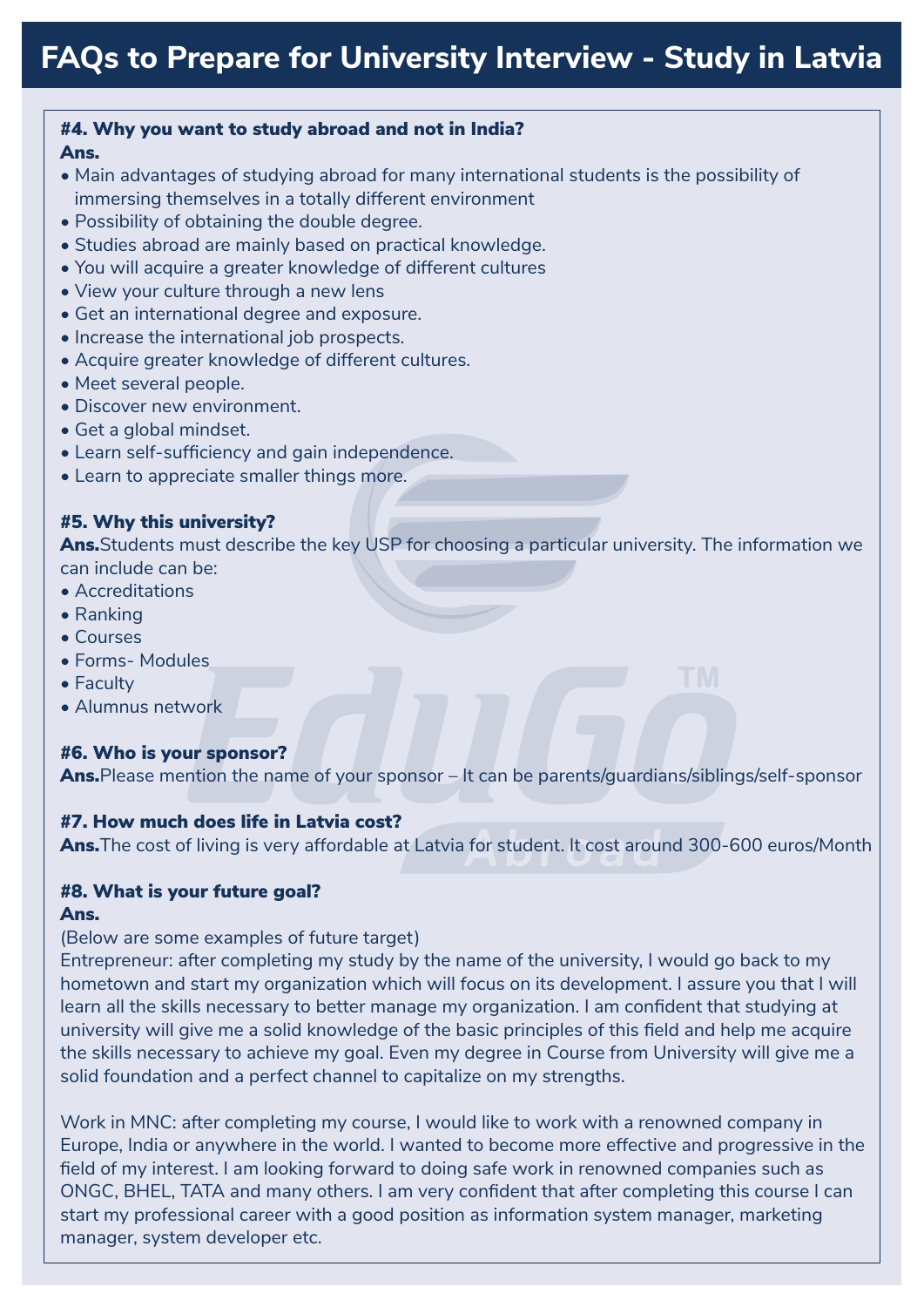#### #4. Why you want to study abroad and not in India? Ans.

- Main advantages of studying abroad for many international students is the possibility of immersing themselves in a totally different environment
- Possibility of obtaining the double degree.
- Studies abroad are mainly based on practical knowledge.
- You will acquire a greater knowledge of different cultures
- View your culture through a new lens
- Get an international degree and exposure.
- Increase the international job prospects.
- Acquire greater knowledge of different cultures.
- Meet several people.
- Discover new environment.
- Get a global mindset.
- Learn self-sufficiency and gain independence.
- Learn to appreciate smaller things more.

# #5. Why this university?

Ans. Students must describe the key USP for choosing a particular university. The information we can include can be:

- Accreditations
- Ranking
- Courses
- Forms- Modules
- Faculty
- Alumnus network

# #6. Who is your sponsor?

Ans. Please mention the name of your sponsor – It can be parents/guardians/siblings/self-sponsor

# #7. How much does life in Latvia cost?

Ans. The cost of living is very affordable at Latvia for student. It cost around 300-600 euros/Month

# #8. What is your future goal?

#### Ans.

# (Below are some examples of future target)

Entrepreneur: after completing my study by the name of the university, I would go back to my hometown and start my organization which will focus on its development. I assure you that I will learn all the skills necessary to better manage my organization. I am confident that studying at university will give me a solid knowledge of the basic principles of this field and help me acquire the skills necessary to achieve my goal. Even my degree in Course from University will give me a solid foundation and a perfect channel to capitalize on my strengths.

Work in MNC: after completing my course, I would like to work with a renowned company in Europe, India or anywhere in the world. I wanted to become more effective and progressive in the field of my interest. I am looking forward to doing safe work in renowned companies such as ONGC, BHEL, TATA and many others. I am very confident that after completing this course I can start my professional career with a good position as information system manager, marketing manager, system developer etc.